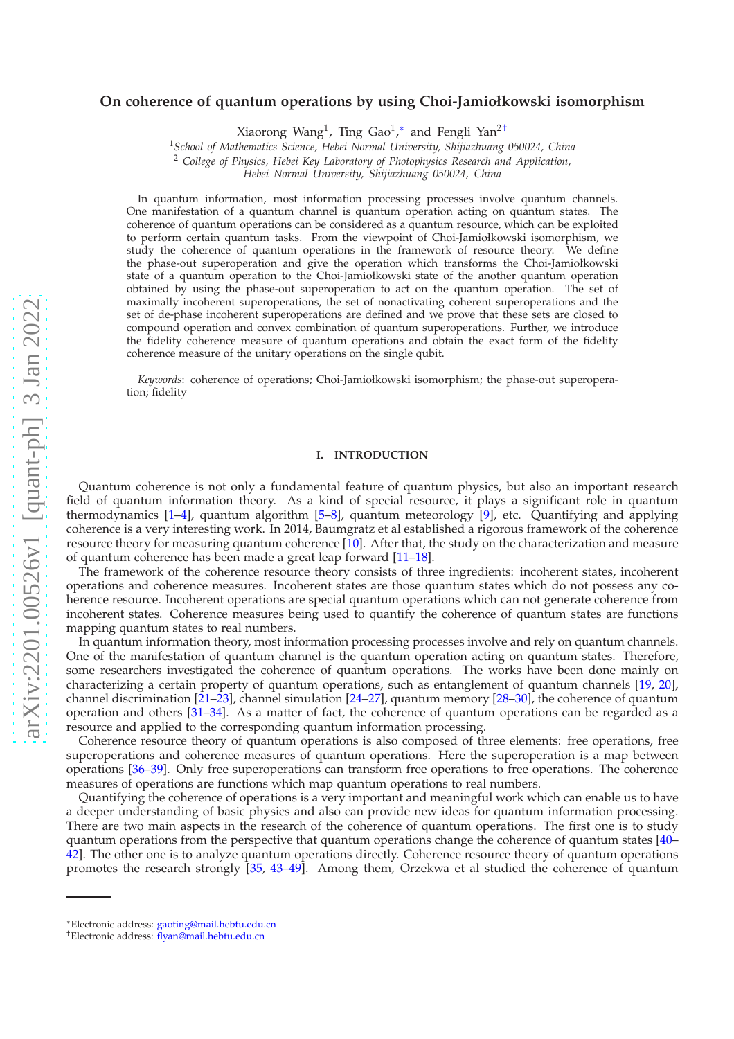# arXiv:2201.00526v1 [quant-ph] 3 Jan 2022 [arXiv:2201.00526v1 \[quant-ph\] 3 Jan 2022](http://arxiv.org/abs/2201.00526v1)

# **On coherence of quantum operations by using Choi-Jamiołkowski isomorphism**

Xiaorong Wang<sup>1</sup>, Ting Gao<sup>1</sup>,\* and Fengli Yan<sup>[2†](#page-0-1)</sup>

<sup>1</sup>*School of Mathematics Science, Hebei Normal University, Shijiazhuang 050024, China*

<sup>2</sup> *College of Physics, Hebei Key Laboratory of Photophysics Research and Application,*

*Hebei Normal University, Shijiazhuang 050024, China*

In quantum information, most information processing processes involve quantum channels. One manifestation of a quantum channel is quantum operation acting on quantum states. The coherence of quantum operations can be considered as a quantum resource, which can be exploited to perform certain quantum tasks. From the viewpoint of Choi-Jamiołkowski isomorphism, we study the coherence of quantum operations in the framework of resource theory. We define the phase-out superoperation and give the operation which transforms the Choi-Jamiołkowski state of a quantum operation to the Choi-Jamiołkowski state of the another quantum operation obtained by using the phase-out superoperation to act on the quantum operation. The set of maximally incoherent superoperations, the set of nonactivating coherent superoperations and the set of de-phase incoherent superoperations are defined and we prove that these sets are closed to compound operation and convex combination of quantum superoperations. Further, we introduce the fidelity coherence measure of quantum operations and obtain the exact form of the fidelity coherence measure of the unitary operations on the single qubit.

*Keywords*: coherence of operations; Choi-Jamiołkowski isomorphism; the phase-out superoperation; fidelity

# **I. INTRODUCTION**

Quantum coherence is not only a fundamental feature of quantum physics, but also an important research field of quantum information theory. As a kind of special resource, it plays a significant role in quantum thermodynamics [\[1–](#page-8-0)[4\]](#page-8-1), quantum algorithm [\[5](#page-8-2)[–8](#page-8-3)], quantum meteorology [\[9\]](#page-8-4), etc. Quantifying and applying coherence is a very interesting work. In 2014, Baumgratz et al established a rigorous framework of the coherence resource theory for measuring quantum coherence [\[10\]](#page-8-5). After that, the study on the characterization and measure of quantum coherence has been made a great leap forward [\[11](#page-8-6)[–18\]](#page-8-7).

The framework of the coherence resource theory consists of three ingredients: incoherent states, incoherent operations and coherence measures. Incoherent states are those quantum states which do not possess any coherence resource. Incoherent operations are special quantum operations which can not generate coherence from incoherent states. Coherence measures being used to quantify the coherence of quantum states are functions mapping quantum states to real numbers.

In quantum information theory, most information processing processes involve and rely on quantum channels. One of the manifestation of quantum channel is the quantum operation acting on quantum states. Therefore, some researchers investigated the coherence of quantum operations. The works have been done mainly on characterizing a certain property of quantum operations, such as entanglement of quantum channels [\[19](#page-8-8), [20](#page-8-9)], channel discrimination [\[21](#page-8-10)[–23\]](#page-8-11), channel simulation [\[24](#page-8-12)[–27\]](#page-8-13), quantum memory [\[28](#page-8-14)[–30\]](#page-9-0), the coherence of quantum operation and others [\[31](#page-9-1)[–34\]](#page-9-2). As a matter of fact, the coherence of quantum operations can be regarded as a resource and applied to the corresponding quantum information processing.

Coherence resource theory of quantum operations is also composed of three elements: free operations, free superoperations and coherence measures of quantum operations. Here the superoperation is a map between operations [\[36](#page-9-3)[–39](#page-9-4)]. Only free superoperations can transform free operations to free operations. The coherence measures of operations are functions which map quantum operations to real numbers.

Quantifying the coherence of operations is a very important and meaningful work which can enable us to have a deeper understanding of basic physics and also can provide new ideas for quantum information processing. There are two main aspects in the research of the coherence of quantum operations. The first one is to study quantum operations from the perspective that quantum operations change the coherence of quantum states [\[40–](#page-9-5) [42\]](#page-9-6). The other one is to analyze quantum operations directly. Coherence resource theory of quantum operations promotes the research strongly [\[35,](#page-9-7) [43](#page-9-8)[–49](#page-9-9)]. Among them, Orzekwa et al studied the coherence of quantum

<span id="page-0-0"></span><sup>∗</sup>Electronic address: [gaoting@mail.hebtu.edu.cn](mailto:gaoting@mail.hebtu.edu.cn)

<span id="page-0-1"></span><sup>†</sup>Electronic address: [flyan@mail.hebtu.edu.cn](mailto:flyan@mail.hebtu.edu.cn)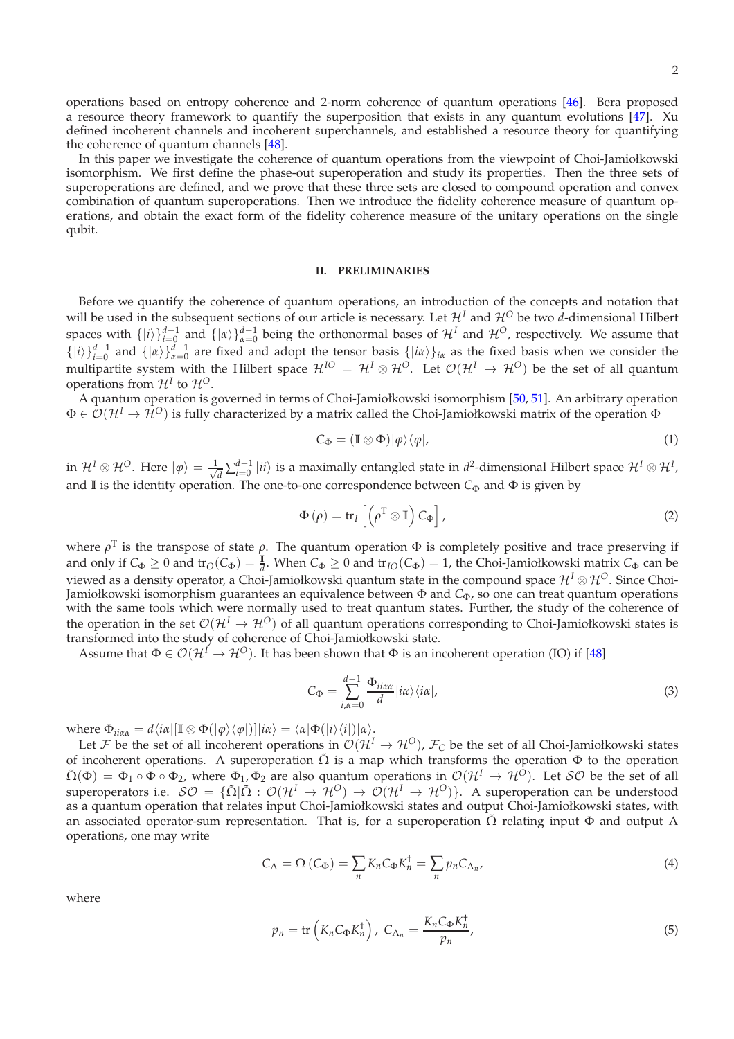operations based on entropy coherence and 2-norm coherence of quantum operations [\[46](#page-9-10)]. Bera proposed a resource theory framework to quantify the superposition that exists in any quantum evolutions [\[47](#page-9-11)]. Xu defined incoherent channels and incoherent superchannels, and established a resource theory for quantifying the coherence of quantum channels [\[48\]](#page-9-12).

In this paper we investigate the coherence of quantum operations from the viewpoint of Choi-Jamiołkowski isomorphism. We first define the phase-out superoperation and study its properties. Then the three sets of superoperations are defined, and we prove that these three sets are closed to compound operation and convex combination of quantum superoperations. Then we introduce the fidelity coherence measure of quantum operations, and obtain the exact form of the fidelity coherence measure of the unitary operations on the single qubit.

# **II. PRELIMINARIES**

Before we quantify the coherence of quantum operations, an introduction of the concepts and notation that will be used in the subsequent sections of our article is necessary. Let  $\mathcal{H}^I$  and  $\mathcal{H}^O$  be two *d*-dimensional Hilbert spaces with  $\{|i\rangle\}_{i=0}^{d-1}$  and  $\{|a\rangle\}_{a=0}^{d-1}$  being the orthonormal bases of  $\mathcal{H}^I$  and  $\mathcal{H}^O$ , respectively. We assume that  $\{|i\rangle\}_{i=0}^{d-1}$  and  $\{|a\rangle\}_{a=0}^{d-1}$  are fixed and adopt the tensor basis  $\{|i\alpha\rangle\}_{i\alpha}$  as the fixed basis when we consider the multipartite system with the Hilbert space  $\mathcal{H}^{IO} = \mathcal{H}^I\otimes\mathcal{H}^{O}$ . Let  $\mathcal{O}(\mathcal{H}^I\to\mathcal{H}^O)$  be the set of all quantum operations from  $\mathcal{H}^I$  to  $\mathcal{H}^O$ .

A quantum operation is governed in terms of Choi-Jamiołkowski isomorphism [\[50,](#page-9-13) [51\]](#page-9-14). An arbitrary operation <sup>Φ</sup> ∈ O(H*<sup>I</sup>* → H*O*) is fully characterized by a matrix called the Choi-Jamiołkowski matrix of the operation <sup>Φ</sup>

$$
C_{\Phi} = (\mathbb{I} \otimes \Phi)|\varphi\rangle\langle\varphi|,\tag{1}
$$

 $\sin \mathcal{H}^I \otimes \mathcal{H}^O$ . Here  $|\varphi\rangle = \frac{1}{\sqrt{2}}$  $\frac{d}{dt}\sum_{i=0}^{d-1}|ii\rangle$  is a maximally entangled state in  $d^2$ -dimensional Hilbert space  $\mathcal{H}^I\otimes\mathcal{H}^I$ , and II is the identity operation. The one-to-one correspondence between  $C_{\Phi}$  and  $\Phi$  is given by

$$
\Phi\left(\rho\right) = \text{tr}_{I}\left[\left(\rho^{\text{T}} \otimes \mathbb{I}\right) C_{\Phi}\right],\tag{2}
$$

where *ρ*<sup>T</sup> is the transpose of state *ρ*. The quantum operation Φ is completely positive and trace preserving if and only if  $C_{\Phi} \ge 0$  and  $tr_O(C_{\Phi}) = \frac{1}{d}$ . When  $C_{\Phi} \ge 0$  and  $tr_{IO}(C_{\Phi}) = 1$ , the Choi-Jamiołkowski matrix  $C_{\Phi}$  can be viewed as a density operator, a Choi-Jamiołkowski quantum state in the compound space  $\mathcal{H}^I\otimes\mathcal{H}^O$ . Since Choi-Jamiołkowski isomorphism guarantees an equivalence between Φ and *C*<sub>Φ</sub>, so one can treat quantum operations with the same tools which were normally used to treat quantum states. Further, the study of the coherence of the operation in the set  $O(H^I \to H^O)$  of all quantum operations corresponding to Choi-Jamiołkowski states is transformed into the study of coherence of Choi-Jamiołkowski state.

Assume that  $\Phi \in \mathcal{O}(\mathcal{H}^1 \to \mathcal{H}^0)$ . It has been shown that  $\Phi$  is an incoherent operation (IO) if [\[48\]](#page-9-12)

$$
C_{\Phi} = \sum_{i,\alpha=0}^{d-1} \frac{\Phi_{ii\alpha\alpha}}{d} |i\alpha\rangle \langle i\alpha|,
$$
\n(3)

where  $\Phi_{ii\alpha\alpha} = d\langle i\alpha | [\mathbb{I} \otimes \Phi(|\varphi\rangle\langle\varphi|)] | i\alpha\rangle = \langle \alpha | \Phi(|i\rangle\langle i|) | \alpha\rangle.$ 

Let F be the set of all incoherent operations in  $O(H^I \to H^O)$ ,  $\mathcal{F}_C$  be the set of all Choi-Jamiołkowski states of incoherent operations. A superoperation  $\tilde{\Omega}$  is a map which transforms the operation  $\Phi$  to the operation  $\tilde{\Omega}(\Phi) = \Phi_1 \circ \Phi \circ \Phi_2$ , where  $\Phi_1$ ,  $\Phi_2$  are also quantum operations in  $\mathcal{O}(\mathcal{H}^I \to \mathcal{H}^O)$ . Let  $\mathcal{SO}$  be the set of all superoperators i.e.  $\mathcal{SO} = \{ \tilde{\Omega} | \tilde{\Omega} : \mathcal{O}(\mathcal{H}^I \to \mathcal{H}^O) \to \mathcal{O}(\mathcal{H}^I \to \mathcal{H}^O) \}$ . A superoperation can be understood as a quantum operation that relates input Choi-Jamiołkowski states and output Choi-Jamiołkowski states, with an associated operator-sum representation. That is, for a superoperation  $\tilde{\Omega}$  relating input  $\Phi$  and output  $\Lambda$ operations, one may write

$$
C_{\Lambda} = \Omega \left( C_{\Phi} \right) = \sum_{n} K_n C_{\Phi} K_n^{\dagger} = \sum_{n} p_n C_{\Lambda_n}, \tag{4}
$$

where

$$
p_n = \text{tr}\left(K_n C_{\Phi} K_n^{\dagger}\right), \ C_{\Lambda_n} = \frac{K_n C_{\Phi} K_n^{\dagger}}{p_n},\tag{5}
$$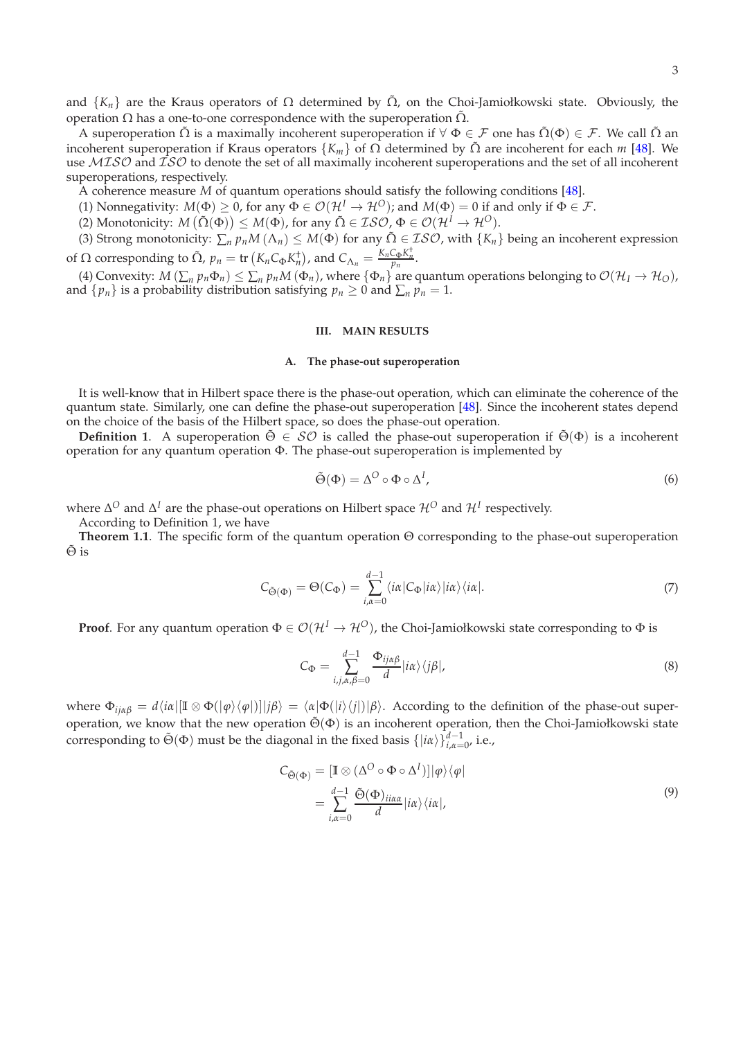and  $\{K_n\}$  are the Kraus operators of  $\Omega$  determined by  $\tilde{\Omega}$ , on the Choi-Jamiołkowski state. Obviously, the operation  $Ω$  has a one-to-one correspondence with the superoperation  $\tilde{Ω}$ .

A superoperation  $\tilde{\Omega}$  is a maximally incoherent superoperation if  $\forall \Phi \in \mathcal{F}$  one has  $\tilde{\Omega}(\Phi) \in \mathcal{F}$ . We call  $\tilde{\Omega}$  an incoherent superoperation if Kraus operators  ${K_m}$  of  $\Omega$  determined by  $\tilde{\Omega}$  are incoherent for each *m* [\[48](#page-9-12)]. We use MISO and ISO to denote the set of all maximally incoherent superoperations and the set of all incoherent superoperations, respectively.

A coherence measure *M* of quantum operations should satisfy the following conditions [\[48\]](#page-9-12).

- (1) Nonnegativity:  $M(\Phi) \geq 0$ , for any  $\Phi \in \mathcal{O}(\mathcal{H}^I \to \mathcal{H}^O)$ ; and  $M(\Phi) = 0$  if and only if  $\Phi \in \mathcal{F}$ .
- (2) Monotonicity:  $M(\tilde{\Omega}(\Phi)) \leq M(\Phi)$ , for any  $\tilde{\Omega} \in \mathcal{ISO}_{\mathcal{L}}} \Phi \in \mathcal{O}(\mathcal{H}^I \to \mathcal{H}^O)$ .

(3) Strong monotonicity:  $\sum_n p_n M(\Lambda_n) \leq M(\Phi)$  for any  $\tilde{\Omega} \in \mathcal{ISO}$ , with  $\{K_n\}$  being an incoherent expression of  $\Omega$  corresponding to  $\tilde{\Omega}$ ,  $p_n = \text{tr}\left(K_n C_{\Phi} K_n^{\dagger}\right)$ , and  $C_{\Lambda_n} = \frac{K_n C_{\Phi} K_n^{\dagger}}{p_n}$ .

(4) Convexity:  $M(\sum_n p_n \Phi_n) \leq \sum_n p_n M(\Phi_n)$ , where  $\{\Phi_n\}$  are quantum operations belonging to  $\mathcal{O}(\mathcal{H}_I \to \mathcal{H}_O)$ , and  $\{p_n\}$  is a probability distribution satisfying  $p_n \geq 0$  and  $\sum_n p_n = 1$ .

# **III. MAIN RESULTS**

### **A. The phase-out superoperation**

It is well-know that in Hilbert space there is the phase-out operation, which can eliminate the coherence of the quantum state. Similarly, one can define the phase-out superoperation [\[48](#page-9-12)]. Since the incoherent states depend on the choice of the basis of the Hilbert space, so does the phase-out operation.

**Definition 1**. A superoperation  $\tilde{\Theta} \in \mathcal{SO}$  is called the phase-out superoperation if  $\tilde{\Theta}(\Phi)$  is a incoherent operation for any quantum operation Φ. The phase-out superoperation is implemented by

$$
\tilde{\Theta}(\Phi) = \Delta^O \circ \Phi \circ \Delta^I,\tag{6}
$$

where  $\Delta^O$  and  $\Delta^I$  are the phase-out operations on Hilbert space  $\mathcal{H}^O$  and  $\mathcal{H}^I$  respectively.

According to Definition 1, we have

**Theorem 1.1**. The specific form of the quantum operation Θ corresponding to the phase-out superoperation  $\tilde{\Theta}$  is

$$
C_{\tilde{\Theta}(\Phi)} = \Theta(C_{\Phi}) = \sum_{i,\alpha=0}^{d-1} \langle i\alpha | C_{\Phi} | i\alpha \rangle | i\alpha \rangle \langle i\alpha |.
$$
 (7)

**Proof.** For any quantum operation  $\Phi \in \mathcal{O}(\mathcal{H}^I \to \mathcal{H}^O)$ , the Choi-Jamiołkowski state corresponding to  $\Phi$  is

$$
C_{\Phi} = \sum_{i,j,\alpha,\beta=0}^{d-1} \frac{\Phi_{ij\alpha\beta}}{d} |i\alpha\rangle \langle j\beta|,
$$
\n(8)

where  $\Phi_{ij\alpha\beta} = d\langle i\alpha|[\mathbb{I} \otimes \Phi(|\varphi\rangle\langle\varphi|)]|j\beta\rangle = \langle \alpha|\Phi(|i\rangle\langle j|)|\beta\rangle$ . According to the definition of the phase-out superoperation, we know that the new operation  $\tilde{\Theta}(\Phi)$  is an incoherent operation, then the Choi-Jamiołkowski state corresponding to  $\tilde{\Theta}(\Phi)$  must be the diagonal in the fixed basis  $\{|i\alpha\rangle\}_{i,\alpha=0}^{d-1}$ , i.e.,

$$
C_{\tilde{\Theta}(\Phi)} = [\mathbb{I} \otimes (\Delta^O \circ \Phi \circ \Delta^I)]|\varphi\rangle\langle\varphi|
$$
  
= 
$$
\sum_{i,\alpha=0}^{d-1} \frac{\tilde{\Theta}(\Phi)_{ii\alpha\alpha}}{d}|i\alpha\rangle\langle i\alpha|,
$$
 (9)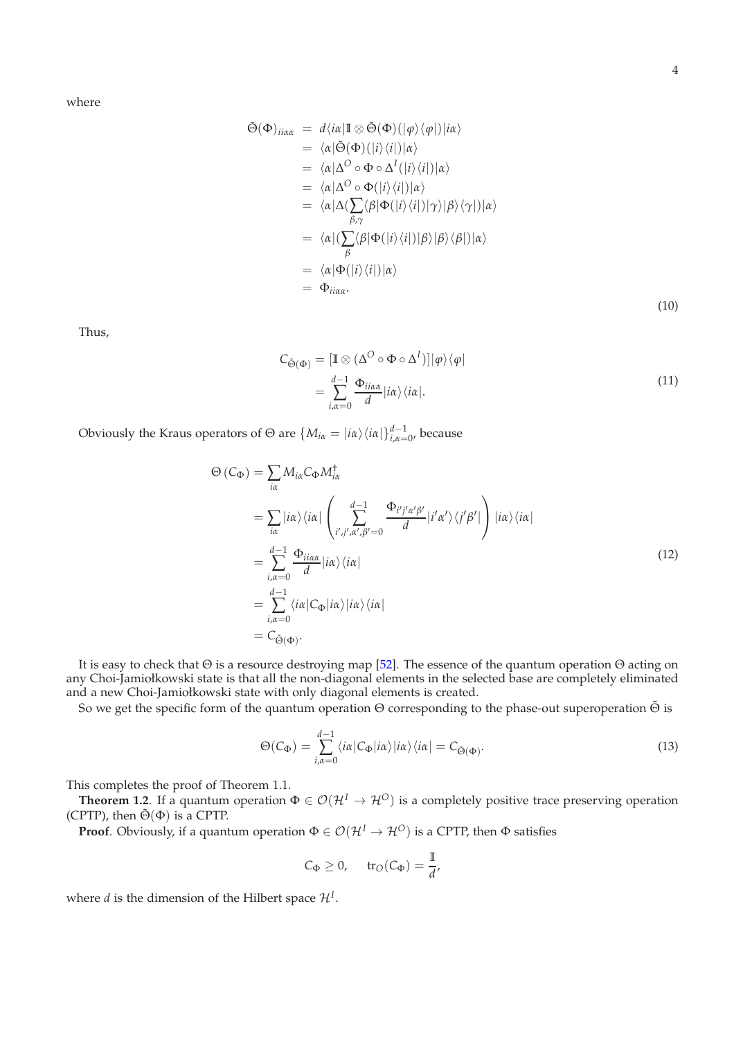where

$$
\tilde{\Theta}(\Phi)_{ii\alpha\alpha} = d\langle i\alpha|\mathbb{I} \otimes \tilde{\Theta}(\Phi)(|\varphi\rangle\langle\varphi|)|i\alpha\rangle \n= \langle \alpha|\tilde{\Theta}(\Phi)(|i\rangle\langle i|)|\alpha\rangle \n= \langle \alpha|\Delta^O \circ \Phi \circ \Delta^I(|i\rangle\langle i|)|\alpha\rangle \n= \langle \alpha|\Delta^O \circ \Phi(|i\rangle\langle i|)|\alpha\rangle \n= \langle \alpha|\Delta(\sum_{\beta,\gamma}\langle\beta|\Phi(|i\rangle\langle i|)|\gamma\rangle|\beta\rangle\langle\gamma|)|\alpha\rangle \n= \langle \alpha|(\sum_{\beta}\langle\beta|\Phi(|i\rangle\langle i|)|\beta\rangle|\beta\rangle\langle\beta|)|\alpha\rangle \n= \langle \alpha|\Phi(|i\rangle\langle i|)|\alpha\rangle \n= \Phi_{ii\alpha\alpha}.
$$
\n(10)

Thus,

$$
C_{\tilde{\Theta}(\Phi)} = [\mathbb{I} \otimes (\Delta^O \circ \Phi \circ \Delta^I)]|\varphi\rangle\langle\varphi|
$$
  
= 
$$
\sum_{i,\alpha=0}^{d-1} \frac{\Phi_{ii\alpha\alpha}}{d} |i\alpha\rangle\langle i\alpha|.
$$
 (11)

Obviously the Kraus operators of  $\Theta$  are  $\{M_{i\alpha} = |i\alpha\rangle\langle i\alpha| \}_{i,\alpha=0'}^{d-1}$ , because

$$
\Theta(C_{\Phi}) = \sum_{i\alpha} M_{i\alpha} C_{\Phi} M_{i\alpha}^{\dagger}
$$
\n
$$
= \sum_{i\alpha} |i\alpha\rangle \langle i\alpha| \left( \sum_{i',j',\alpha',\beta'=0}^{d-1} \frac{\Phi_{i'j'\alpha'\beta'}}{d} |i'\alpha'\rangle \langle j'\beta'| \right) |i\alpha\rangle \langle i\alpha|
$$
\n
$$
= \sum_{i,\alpha=0}^{d-1} \frac{\Phi_{ii\alpha\alpha}}{d} |i\alpha\rangle \langle i\alpha|
$$
\n
$$
= \sum_{i,\alpha=0}^{d-1} \langle i\alpha |C_{\Phi}| i\alpha\rangle |i\alpha\rangle \langle i\alpha|
$$
\n
$$
= C_{\tilde{\Theta}(\Phi)}.
$$
\n(12)

It is easy to check that Θ is a resource destroying map [\[52\]](#page-9-15). The essence of the quantum operation Θ acting on any Choi-Jamiołkowski state is that all the non-diagonal elements in the selected base are completely eliminated and a new Choi-Jamiołkowski state with only diagonal elements is created.

So we get the specific form of the quantum operation Θ corresponding to the phase-out superoperation Θ is

$$
\Theta(C_{\Phi}) = \sum_{i,\alpha=0}^{d-1} \langle i\alpha | C_{\Phi} | i\alpha \rangle | i\alpha \rangle \langle i\alpha | = C_{\tilde{\Theta}(\Phi)}.
$$
\n(13)

This completes the proof of Theorem 1.1.

**Theorem 1.2.** If a quantum operation  $\Phi \in \mathcal{O}(\mathcal{H}^I \to \mathcal{H}^O)$  is a completely positive trace preserving operation (CPTP), then  $\tilde{\Theta}(\Phi)$  is a CPTP.

**Proof**. Obviously, if a quantum operation  $\Phi \in \mathcal{O}(\mathcal{H}^I \to \mathcal{H}^O)$  is a CPTP, then  $\Phi$  satisfies

$$
C_{\Phi} \ge 0
$$
,  $tr_{\mathcal{O}}(C_{\Phi}) = \frac{\mathbb{I}}{d}$ ,

where *d* is the dimension of the Hilbert space  $\mathcal{H}^I$ .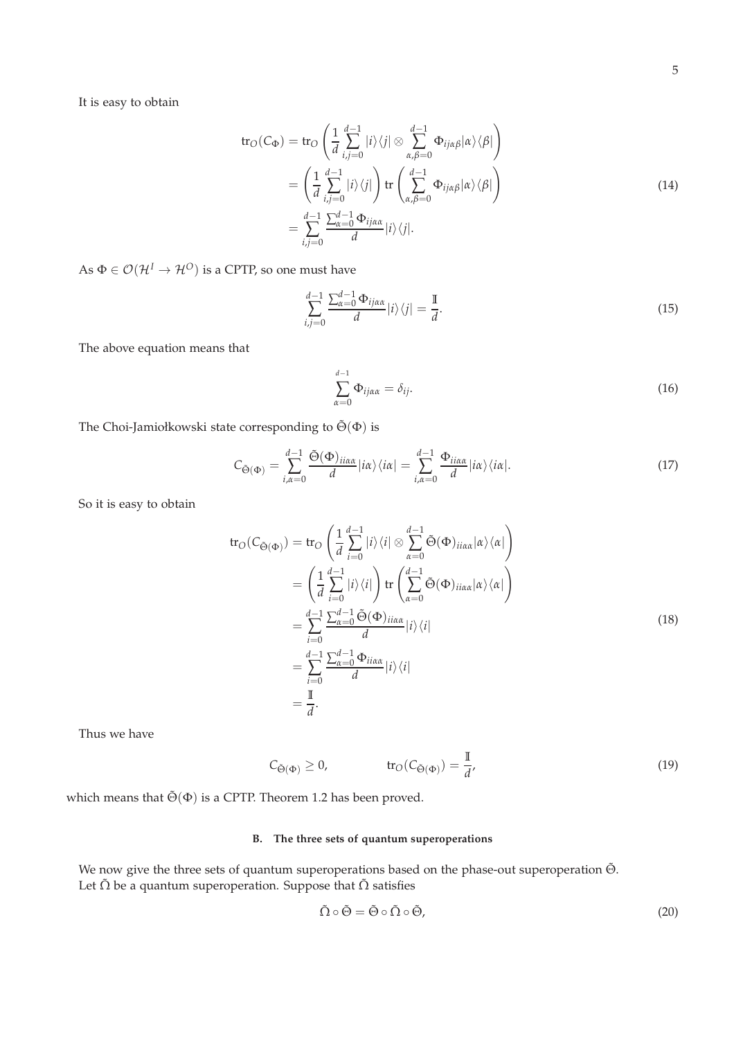It is easy to obtain

$$
\operatorname{tr}_{O}(C_{\Phi}) = \operatorname{tr}_{O}\left(\frac{1}{d} \sum_{i,j=0}^{d-1} |i\rangle\langle j| \otimes \sum_{\alpha,\beta=0}^{d-1} \Phi_{ij\alpha\beta}|\alpha\rangle\langle\beta|\right)
$$

$$
= \left(\frac{1}{d} \sum_{i,j=0}^{d-1} |i\rangle\langle j| \right) \operatorname{tr}\left(\sum_{\alpha,\beta=0}^{d-1} \Phi_{ij\alpha\beta}|\alpha\rangle\langle\beta|\right)
$$

$$
= \sum_{i,j=0}^{d-1} \frac{\sum_{\alpha=0}^{d-1} \Phi_{ij\alpha\alpha}}{d} |i\rangle\langle j|.
$$
(14)

As  $\Phi \in \mathcal{O}(\mathcal{H}^I \to \mathcal{H}^O)$  is a CPTP, so one must have

$$
\sum_{i,j=0}^{d-1} \frac{\sum_{\alpha=0}^{d-1} \Phi_{ij\alpha\alpha}}{d} |i\rangle\langle j| = \frac{\mathbb{I}}{d}.\tag{15}
$$

The above equation means that

$$
\sum_{\alpha=0}^{d-1} \Phi_{ij\alpha\alpha} = \delta_{ij}.\tag{16}
$$

The Choi-Jamiołkowski state corresponding to  $\tilde{\Theta}(\Phi)$  is

$$
C_{\tilde{\Theta}(\Phi)} = \sum_{i,\alpha=0}^{d-1} \frac{\tilde{\Theta}(\Phi)_{ii\alpha\alpha}}{d} |i\alpha\rangle \langle i\alpha| = \sum_{i,\alpha=0}^{d-1} \frac{\Phi_{ii\alpha\alpha}}{d} |i\alpha\rangle \langle i\alpha|.
$$
 (17)

So it is easy to obtain

$$
\text{tr}_{O}(C_{\tilde{\Theta}(\Phi)}) = \text{tr}_{O}\left(\frac{1}{d} \sum_{i=0}^{d-1} |i\rangle\langle i| \otimes \sum_{\alpha=0}^{d-1} \tilde{\Theta}(\Phi)_{ii\alpha\alpha}|\alpha\rangle\langle \alpha|\right)
$$
  
\n
$$
= \left(\frac{1}{d} \sum_{i=0}^{d-1} |i\rangle\langle i| \right) \text{tr}\left(\sum_{\alpha=0}^{d-1} \tilde{\Theta}(\Phi)_{ii\alpha\alpha}|\alpha\rangle\langle \alpha|\right)
$$
  
\n
$$
= \sum_{i=0}^{d-1} \frac{\sum_{\alpha=0}^{d-1} \tilde{\Theta}(\Phi)_{ii\alpha\alpha}}{d} |i\rangle\langle i|
$$
  
\n
$$
= \sum_{i=0}^{d-1} \frac{\sum_{\alpha=0}^{d-1} \Phi_{ii\alpha\alpha}}{d} |i\rangle\langle i|
$$
  
\n
$$
= \frac{\mathbb{I}}{d}.
$$
 (18)

Thus we have

$$
C_{\tilde{\Theta}(\Phi)} \ge 0, \qquad \text{tr}_O(C_{\tilde{\Theta}(\Phi)}) = \frac{\mathbb{I}}{d'}, \qquad (19)
$$

which means that  $\tilde{\Theta}(\Phi)$  is a CPTP. Theorem 1.2 has been proved.

# **B. The three sets of quantum superoperations**

We now give the three sets of quantum superoperations based on the phase-out superoperation Θ̃. Let  $\tilde{\Omega}$  be a quantum superoperation. Suppose that  $\tilde{\Omega}$  satisfies

$$
\tilde{\Omega} \circ \tilde{\Theta} = \tilde{\Theta} \circ \tilde{\Omega} \circ \tilde{\Theta},\tag{20}
$$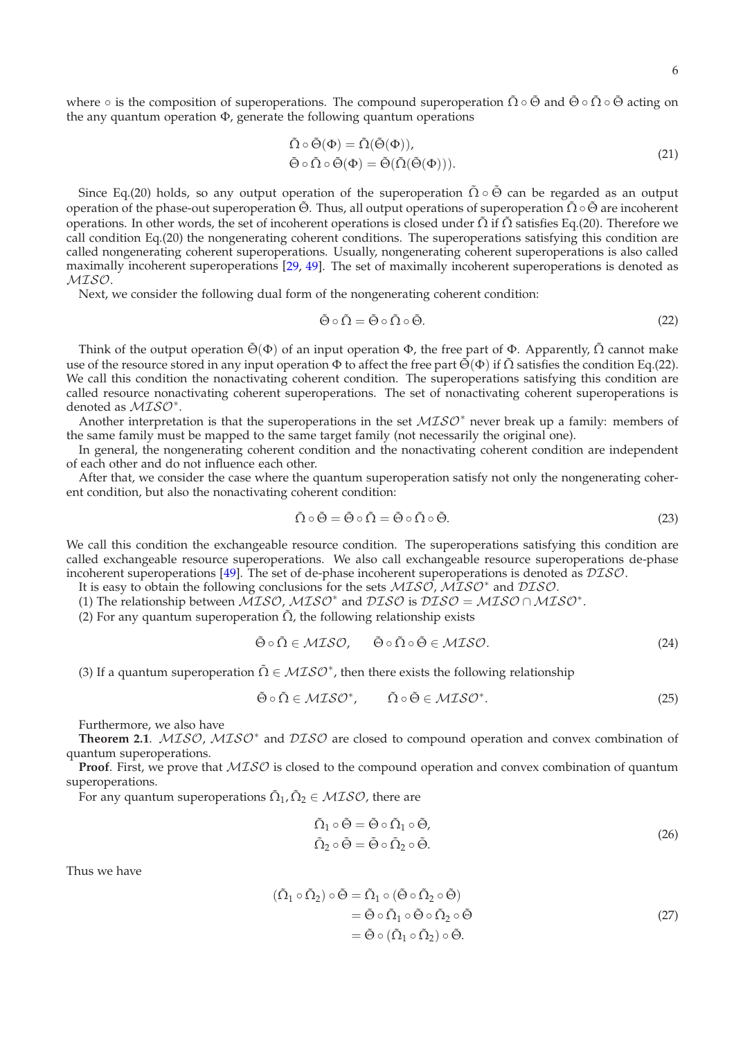6

where  $\circ$  is the composition of superoperations. The compound superoperation  $\tilde{\Omega} \circ \tilde{\Theta}$  and  $\tilde{\Theta} \circ \tilde{\Omega} \circ \tilde{\Theta}$  acting on the any quantum operation  $\Phi$ , generate the following quantum operations

$$
\tilde{\Omega} \circ \tilde{\Theta}(\Phi) = \tilde{\Omega}(\tilde{\Theta}(\Phi)), \tilde{\Theta} \circ \tilde{\Omega} \circ \tilde{\Theta}(\Phi) = \tilde{\Theta}(\tilde{\Omega}(\tilde{\Theta}(\Phi))).
$$
\n(21)

Since Eq.(20) holds, so any output operation of the superoperation  $\tilde{\Omega} \circ \tilde{\Theta}$  can be regarded as an output operation of the phase-out superoperation  $\tilde{\Theta}$ . Thus, all output operations of superoperation  $\tilde{\Omega} \circ \tilde{\Theta}$  are incoherent operations. In other words, the set of incoherent operations is closed under  $\tilde{\Omega}$  if  $\tilde{\Omega}$  satisfies Eq.(20). Therefore we call condition Eq.(20) the nongenerating coherent conditions. The superoperations satisfying this condition are called nongenerating coherent superoperations. Usually, nongenerating coherent superoperations is also called maximally incoherent superoperations [\[29](#page-9-16), [49\]](#page-9-9). The set of maximally incoherent superoperations is denoted as MISO.

Next, we consider the following dual form of the nongenerating coherent condition:

$$
\tilde{\Theta} \circ \tilde{\Omega} = \tilde{\Theta} \circ \tilde{\Omega} \circ \tilde{\Theta}.
$$
\n(22)

Think of the output operation  $\tilde{\Theta}(\Phi)$  of an input operation  $\Phi$ , the free part of  $\Phi$ . Apparently,  $\tilde{\Omega}$  cannot make use of the resource stored in any input operation  $\Phi$  to affect the free part  $\tilde{\Theta}(\Phi)$  if  $\tilde{\Omega}$  satisfies the condition Eq.(22). We call this condition the nonactivating coherent condition. The superoperations satisfying this condition are called resource nonactivating coherent superoperations. The set of nonactivating coherent superoperations is denoted as *MISO*<sup>\*</sup>.

Another interpretation is that the superoperations in the set  $MISO^*$  never break up a family: members of the same family must be mapped to the same target family (not necessarily the original one).

In general, the nongenerating coherent condition and the nonactivating coherent condition are independent of each other and do not influence each other.

After that, we consider the case where the quantum superoperation satisfy not only the nongenerating coherent condition, but also the nonactivating coherent condition:

$$
\tilde{\Omega} \circ \tilde{\Theta} = \tilde{\Theta} \circ \tilde{\Omega} = \tilde{\Theta} \circ \tilde{\Omega} \circ \tilde{\Theta}.
$$
\n(23)

We call this condition the exchangeable resource condition. The superoperations satisfying this condition are called exchangeable resource superoperations. We also call exchangeable resource superoperations de-phase incoherent superoperations [\[49\]](#page-9-9). The set of de-phase incoherent superoperations is denoted as DISO.

It is easy to obtain the following conclusions for the sets *MISO*, *MISO*<sup>∗</sup> and *DISO*.

(1) The relationship between  $MISO$ ,  $MISO^*$  and  $DISO$  is  $DISO = MISO \cap MISO^*$ .

(2) For any quantum superoperation  $\tilde{\Omega}$ , the following relationship exists

$$
\tilde{\Theta} \circ \tilde{\Omega} \in MISO, \qquad \tilde{\Theta} \circ \tilde{\Omega} \circ \tilde{\Theta} \in MISO. \tag{24}
$$

(3) If a quantum superoperation  $\tilde{\Omega} \in \mathcal{MISO}^*$ , then there exists the following relationship

$$
\tilde{\Theta} \circ \tilde{\Omega} \in MISO^*, \qquad \tilde{\Omega} \circ \tilde{\Theta} \in MISO^*.
$$
\n(25)

Furthermore, we also have

Theorem 2.1. *MISO*, *MISO*<sup>\*</sup> and *DISO* are closed to compound operation and convex combination of quantum superoperations.

**Proof.** First, we prove that  $MISO$  is closed to the compound operation and convex combination of quantum superoperations.

For any quantum superoperations  $\tilde{\Omega}_1$ ,  $\tilde{\Omega}_2 \in \mathcal{MISO}$ , there are

$$
\tilde{\Omega}_1 \circ \tilde{\Theta} = \tilde{\Theta} \circ \tilde{\Omega}_1 \circ \tilde{\Theta}, \n\tilde{\Omega}_2 \circ \tilde{\Theta} = \tilde{\Theta} \circ \tilde{\Omega}_2 \circ \tilde{\Theta}.
$$
\n(26)

Thus we have

$$
(\tilde{\Omega}_1 \circ \tilde{\Omega}_2) \circ \tilde{\Theta} = \tilde{\Omega}_1 \circ (\tilde{\Theta} \circ \tilde{\Omega}_2 \circ \tilde{\Theta})
$$
  
=  $\tilde{\Theta} \circ \tilde{\Omega}_1 \circ \tilde{\Theta} \circ \tilde{\Omega}_2 \circ \tilde{\Theta}$   
=  $\tilde{\Theta} \circ (\tilde{\Omega}_1 \circ \tilde{\Omega}_2) \circ \tilde{\Theta}$ . (27)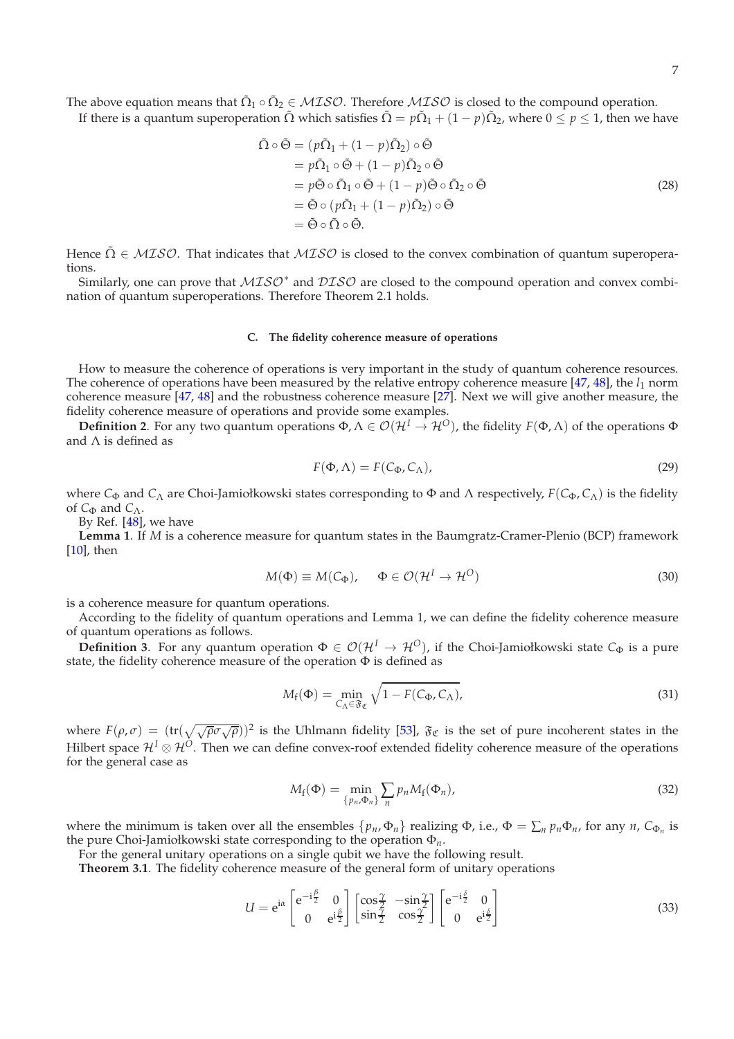The above equation means that  $\tilde{\Omega}_1 \circ \tilde{\Omega}_2 \in MISO$ . Therefore  $MISO$  is closed to the compound operation. If there is a quantum superoperation  $\tilde{\Omega}$  which satisfies  $\tilde{\Omega} = p\tilde{\Omega}_1 + (1-p)\tilde{\Omega}_2$ , where  $0 \le p \le 1$ , then we have

$$
\tilde{\Omega} \circ \tilde{\Theta} = (p\tilde{\Omega}_1 + (1 - p)\tilde{\Omega}_2) \circ \tilde{\Theta}
$$
  
\n
$$
= p\tilde{\Omega}_1 \circ \tilde{\Theta} + (1 - p)\tilde{\Omega}_2 \circ \tilde{\Theta}
$$
  
\n
$$
= p\tilde{\Theta} \circ \tilde{\Omega}_1 \circ \tilde{\Theta} + (1 - p)\tilde{\Theta} \circ \tilde{\Omega}_2 \circ \tilde{\Theta}
$$
  
\n
$$
= \tilde{\Theta} \circ (p\tilde{\Omega}_1 + (1 - p)\tilde{\Omega}_2) \circ \tilde{\Theta}
$$
  
\n
$$
= \tilde{\Theta} \circ \tilde{\Omega} \circ \tilde{\Theta}.
$$
\n(28)

Hence  $\tilde{\Omega} \in MISO$ . That indicates that  $MISO$  is closed to the convex combination of quantum superoperations.

Similarly, one can prove that  $MISO^*$  and  $DISO$  are closed to the compound operation and convex combination of quantum superoperations. Therefore Theorem 2.1 holds.

## **C. The fidelity coherence measure of operations**

How to measure the coherence of operations is very important in the study of quantum coherence resources. The coherence of operations have been measured by the relative entropy coherence measure [\[47,](#page-9-11) [48\]](#page-9-12), the *l*<sub>1</sub> norm coherence measure [\[47,](#page-9-11) [48](#page-9-12)] and the robustness coherence measure [\[27\]](#page-8-13). Next we will give another measure, the fidelity coherence measure of operations and provide some examples.

**Definition 2**. For any two quantum operations  $\Phi, \Lambda \in \mathcal{O}(\mathcal{H}^I \to \mathcal{H}^O)$ , the fidelity  $F(\Phi, \Lambda)$  of the operations  $\Phi$ and Λ is defined as

$$
F(\Phi, \Lambda) = F(C_{\Phi}, C_{\Lambda}), \qquad (29)
$$

where *C*<sub>Φ</sub> and *C*<sub>Λ</sub> are Choi-Jamiołkowski states corresponding to Φ and Λ respectively,  $F(C_{\Phi}, C_{\Lambda})$  is the fidelity of *C*<sub>Φ</sub> and *C*<sub>Λ</sub>.

By Ref. [\[48\]](#page-9-12), we have

**Lemma 1**. If *M* is a coherence measure for quantum states in the Baumgratz-Cramer-Plenio (BCP) framework  $[10]$  $[10]$ , then

$$
M(\Phi) \equiv M(C_{\Phi}), \quad \Phi \in \mathcal{O}(\mathcal{H}^I \to \mathcal{H}^O)
$$
\n(30)

is a coherence measure for quantum operations.

According to the fidelity of quantum operations and Lemma 1, we can define the fidelity coherence measure of quantum operations as follows.

**Definition 3**. For any quantum operation  $\Phi \in \mathcal{O}(\mathcal{H}^I \to \mathcal{H}^O)$ , if the Choi-Jamiołkowski state  $C_{\Phi}$  is a pure state, the fidelity coherence measure of the operation  $\Phi$  is defined as

$$
M_{\rm f}(\Phi) = \min_{C_{\Lambda} \in \mathfrak{F}_{\mathfrak{C}}} \sqrt{1 - F(C_{\Phi}, C_{\Lambda})},\tag{31}
$$

where  $F(\rho,\sigma) = (\text{tr}(\sqrt{\sqrt{\rho}\sigma\sqrt{\rho}}))^2$  is the Uhlmann fidelity [\[53](#page-9-17)],  $\mathfrak{F}_\mathfrak{C}$  is the set of pure incoherent states in the Hilbert space  $\mathcal{H}^I\otimes\mathcal{H}^O$ . Then we can define convex-roof extended fidelity coherence measure of the operations for the general case as

$$
M_f(\Phi) = \min_{\{p_n, \Phi_n\}} \sum_n p_n M_f(\Phi_n), \tag{32}
$$

where the minimum is taken over all the ensembles  $\{p_n, \Phi_n\}$  realizing  $\Phi$ , i.e.,  $\Phi = \sum_n p_n \Phi_n$ , for any *n*,  $C_{\Phi_n}$  is the pure Choi-Jamiołkowski state corresponding to the operation Φ*n*.

For the general unitary operations on a single qubit we have the following result.

**Theorem 3.1**. The fidelity coherence measure of the general form of unitary operations

$$
U = e^{i\alpha} \begin{bmatrix} e^{-i\frac{\beta}{2}} & 0\\ 0 & e^{i\frac{\beta}{2}} \end{bmatrix} \begin{bmatrix} \cos\frac{\gamma}{2} & -\sin\frac{\gamma}{2} \\ \sin\frac{\gamma}{2} & \cos\frac{\gamma}{2} \end{bmatrix} \begin{bmatrix} e^{-i\frac{\delta}{2}} & 0\\ 0 & e^{i\frac{\delta}{2}} \end{bmatrix}
$$
(33)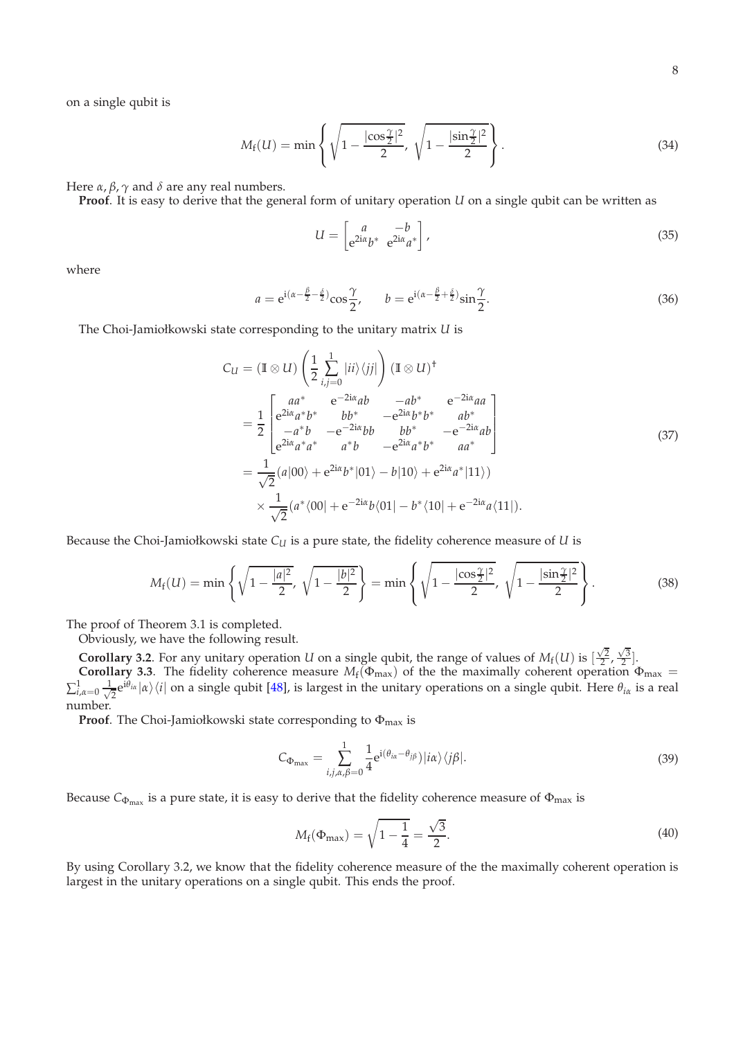on a single qubit is

$$
M_{\rm f}(U) = \min \left\{ \sqrt{1 - \frac{|\cos \frac{\gamma}{2}|^2}{2}}, \sqrt{1 - \frac{|\sin \frac{\gamma}{2}|^2}{2}} \right\}.
$$
 (34)

Here *α*, *β*,  $\gamma$  and *δ* are any real numbers.

**Proof**. It is easy to derive that the general form of unitary operation *U* on a single qubit can be written as

$$
U = \begin{bmatrix} a & -b \\ e^{2i\alpha}b^* & e^{2i\alpha}a^* \end{bmatrix},
$$
\n(35)

where

$$
a = e^{i(\alpha - \frac{\beta}{2} - \frac{\delta}{2})} \cos \frac{\gamma}{2}, \qquad b = e^{i(\alpha - \frac{\beta}{2} + \frac{\delta}{2})} \sin \frac{\gamma}{2}.
$$
\n(36)

The Choi-Jamiołkowski state corresponding to the unitary matrix *U* is

$$
C_{U} = (\mathbb{I} \otimes U) \left( \frac{1}{2} \sum_{i,j=0}^{1} |ii\rangle\langle jj| \right) (\mathbb{I} \otimes U)^{\dagger}
$$
  
\n
$$
= \frac{1}{2} \begin{bmatrix} aa^{*} & e^{-2i\alpha}ab & -ab^{*} & e^{-2i\alpha}aa \\ e^{2i\alpha}a^{*}b^{*} & bb^{*} & -e^{2i\alpha}b^{*}b^{*} & ab^{*} \\ -a^{*}b & -e^{-2i\alpha}bb & bb^{*} & -e^{-2i\alpha}ab \\ e^{2i\alpha}a^{*}a^{*} & a^{*}b & -e^{2i\alpha}a^{*}b^{*} & aa^{*} \end{bmatrix}
$$
  
\n
$$
= \frac{1}{\sqrt{2}} (a|00\rangle + e^{2i\alpha}b^{*}|01\rangle - b|10\rangle + e^{2i\alpha}a^{*}|11\rangle)
$$
  
\n
$$
\times \frac{1}{\sqrt{2}} (a^{*}\langle 00| + e^{-2i\alpha}b\langle 01| - b^{*}\langle 10| + e^{-2i\alpha}a\langle 11|).
$$
 (37)

Because the Choi-Jamiołkowski state *C<sup>U</sup>* is a pure state, the fidelity coherence measure of *U* is

$$
M_{\rm f}(U) = \min\left\{\sqrt{1-\frac{|a|^2}{2}},\sqrt{1-\frac{|b|^2}{2}}\right\} = \min\left\{\sqrt{1-\frac{|\cos\frac{\gamma}{2}|^2}{2}},\sqrt{1-\frac{|\sin\frac{\gamma}{2}|^2}{2}}\right\}.
$$
 (38)

The proof of Theorem 3.1 is completed.

Obviously, we have the following result.

**Corollary 3.2.** For any unitary operation *U* on a single qubit, the range of values of  $M_f(U)$  is  $\left[\frac{\sqrt{2}}{2}, \frac{\sqrt{3}}{2}\right]$ . **Corollary 3.3**. The fidelity coherence measure  $M_f(\Phi_{\text{max}})$  of the the maximally coherent operation  $\Phi_{\text{max}} =$  $\sum_{i,\alpha=0}^{1}\frac{1}{\sqrt{2i}}$  $\frac{1}{2}e^{i\theta_{i\alpha}}|\alpha\rangle\langle i|$  on a single qubit [\[48](#page-9-12)], is largest in the unitary operations on a single qubit. Here  $\theta_{i\alpha}$  is a real number.

**Proof**. The Choi-Jamiołkowski state corresponding to Φmax is

$$
C_{\Phi_{\text{max}}} = \sum_{i,j,\alpha,\beta=0}^{1} \frac{1}{4} e^{i(\theta_{i\alpha} - \theta_{j\beta})} |i\alpha\rangle \langle j\beta|.
$$
\n(39)

Because  $C_{\Phi_{\max}}$  is a pure state, it is easy to derive that the fidelity coherence measure of  $\Phi_{\max}$  is

$$
M_{\rm f}(\Phi_{\rm max}) = \sqrt{1 - \frac{1}{4}} = \frac{\sqrt{3}}{2}.
$$
 (40)

By using Corollary 3.2, we know that the fidelity coherence measure of the the maximally coherent operation is largest in the unitary operations on a single qubit. This ends the proof.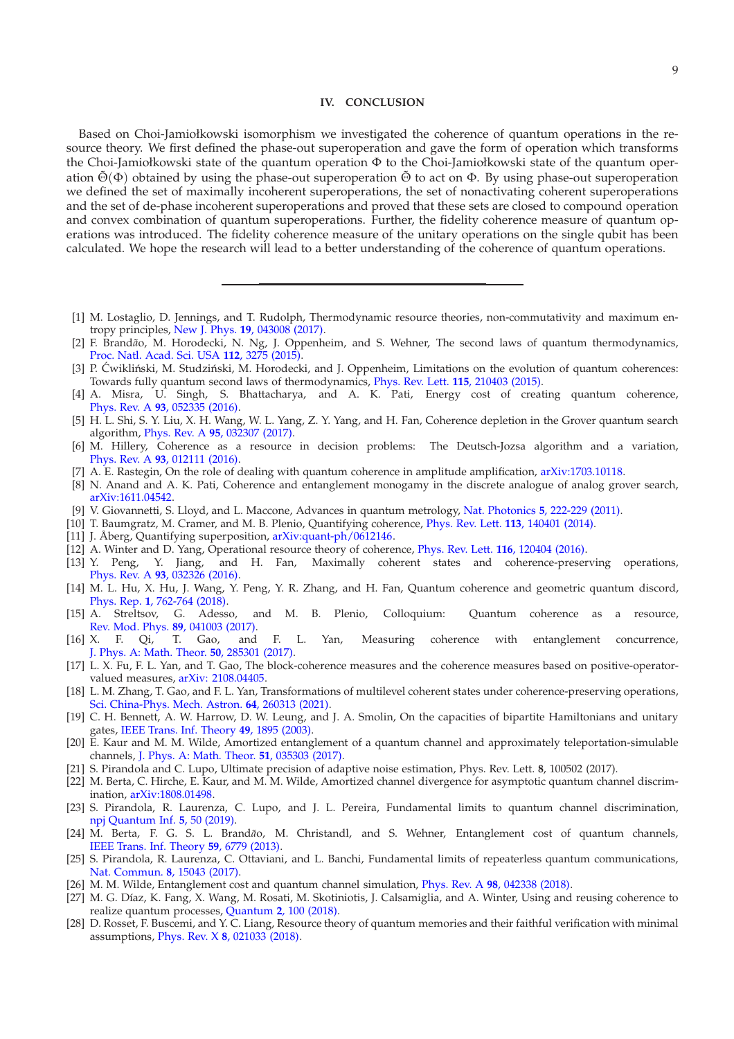## **IV. CONCLUSION**

Based on Choi-Jamiołkowski isomorphism we investigated the coherence of quantum operations in the resource theory. We first defined the phase-out superoperation and gave the form of operation which transforms the Choi-Jamiołkowski state of the quantum operation Φ to the Choi-Jamiołkowski state of the quantum operation  $\tilde{\Theta}(\Phi)$  obtained by using the phase-out superoperation  $\tilde{\Theta}$  to act on  $\Phi$ . By using phase-out superoperation we defined the set of maximally incoherent superoperations, the set of nonactivating coherent superoperations and the set of de-phase incoherent superoperations and proved that these sets are closed to compound operation and convex combination of quantum superoperations. Further, the fidelity coherence measure of quantum operations was introduced. The fidelity coherence measure of the unitary operations on the single qubit has been calculated. We hope the research will lead to a better understanding of the coherence of quantum operations.

- <span id="page-8-0"></span>[1] M. Lostaglio, D. Jennings, and T. Rudolph, Thermodynamic resource theories, non-commutativity and maximum entropy principles, New J. Phys. **19**[, 043008 \(2017\).](https://iopscience.iop.org/article/10.1088/1367-2630/aa617f)
- [2] F. Brandão, M. Horodecki, N. Ng, J. Oppenheim, and S. Wehner, The second laws of quantum thermodynamics, [Proc. Natl. Acad. Sci. USA](https://www.pnas.org/content/112/11/3275) **112**, 3275 (2015).
- [3] P. Ćwikliński, M. Studziński, M. Horodecki, and J. Oppenheim, Limitations on the evolution of quantum coherences: Towards fully quantum second laws of thermodynamics, [Phys. Rev. Lett.](https://journals.aps.org/prl/abstract/10.1103/PhysRevLett.115.210403) **115**, 210403 (2015).
- <span id="page-8-1"></span>[4] A. Misra, U. Singh, S. Bhattacharya, and A. K. Pati, Energy cost of creating quantum coherence, Phys. Rev. A **93**[, 052335 \(2016\).](https://journals.aps.org/pra/abstract/10.1103/PhysRevA.93.052335)
- <span id="page-8-2"></span>[5] H. L. Shi, S. Y. Liu, X. H. Wang, W. L. Yang, Z. Y. Yang, and H. Fan, Coherence depletion in the Grover quantum search algorithm, Phys. Rev. A **95**[, 032307 \(2017\).](https://journals.aps.org/pra/abstract/10.1103/PhysRevA.95.032307)
- [6] M. Hillery, Coherence as a resource in decision problems: The Deutsch-Jozsa algorithm and a variation, Phys. Rev. A **93**[, 012111 \(2016\).](https://journals.aps.org/pra/abstract/10.1103/PhysRevA.93.012111)
- [7] A. E. Rastegin, On the role of dealing with quantum coherence in amplitude amplification, [arXiv:1703.10118.](https://arxiv.org/abs/1703.10118)
- <span id="page-8-3"></span>[8] N. Anand and A. K. Pati, Coherence and entanglement monogamy in the discrete analogue of analog grover search, [arXiv:1611.04542.](https://arxiv.org/abs/1611.04542)
- <span id="page-8-4"></span>[9] V. Giovannetti, S. Lloyd, and L. Maccone, Advances in quantum metrology, Nat. Photonics **5**[, 222-229 \(2011\).](https://www.nature.com/articles/nphoton.2011.35)
- <span id="page-8-5"></span>[10] T. Baumgratz, M. Cramer, and M. B. Plenio, Quantifying coherence, [Phys. Rev. Lett.](https://journals.aps.org/prl/abstract/10.1103/PhysRevLett.113.140401) **113**, 140401 (2014).
- <span id="page-8-6"></span>[11] J. Åberg, Quantifying superposition, [arXiv:quant-ph/0612146.](https://arxiv.org/abs/quant-ph/0612146)
- [12] A. Winter and D. Yang, Operational resource theory of coherence, [Phys. Rev. Lett.](https://journals.aps.org/prl/abstract/10.1103/PhysRevLett.116.120404#fulltext) **116**, 120404 (2016).
- [13] Y. Peng, Y. Jiang, and H. Fan, Maximally coherent states and coherence-preserving operations, Phys. Rev. A **93**[, 032326 \(2016\).](https://journals.aps.org/pra/abstract/10.1103/PhysRevA.93.032326)
- [14] M. L. Hu, X. Hu, J. Wang, Y. Peng, Y. R. Zhang, and H. Fan, Quantum coherence and geometric quantum discord, Phys. Rep. **1**[, 762-764 \(2018\).](https://www.sciencedirect.com/science/article/pii/S0370157318301893?via%3Dihub)
- [15] A. Streltsov, G. Adesso, and M. B. Plenio, Colloquium: Quantum coherence as a resource, [Rev. Mod. Phys.](https://journals.aps.org/rmp/abstract/10.1103/RevModPhys.89.041003) **89**, 041003 (2017).
- [16] X. F. Qi, T. Gao, and F. L. Yan, Measuring coherence with entanglement concurrence, [J. Phys. A: Math. Theor.](https://doi.org/10.1088/1751-8121/aa7638) **50**, 285301 (2017).
- [17] L. X. Fu, F. L. Yan, and T. Gao, The block-coherence measures and the coherence measures based on positive-operatorvalued measures, [arXiv: 2108.04405.](https://arxiv.org/abs/2108.04405)
- <span id="page-8-7"></span>[18] L. M. Zhang, T. Gao, and F. L. Yan, Transformations of multilevel coherent states under coherence-preserving operations, [Sci. China-Phys. Mech. Astron.](https://doi.org/10.1007/s11433-021-1696-y) **64**, 260313 (2021).
- <span id="page-8-8"></span>[19] C. H. Bennett, A. W. Harrow, D. W. Leung, and J. A. Smolin, On the capacities of bipartite Hamiltonians and unitary gates, [IEEE Trans. Inf. Theory](https://ieeexplore.ieee.org/document/1214070) **49**, 1895 (2003).
- <span id="page-8-9"></span>[20] E. Kaur and M. M. Wilde, Amortized entanglement of a quantum channel and approximately teleportation-simulable channels, [J. Phys. A: Math. Theor.](https://www.researchgate.net/publication/318699672_Amortized_entanglement_of_a_quantum_channel_and_approximately_teleportation-simulable_channels) **51**, 035303 (2017).
- <span id="page-8-10"></span>[21] S. Pirandola and C. Lupo, Ultimate precision of adaptive noise estimation, Phys. Rev. Lett. **8**, 100502 (2017).
- [22] M. Berta, C. Hirche, E. Kaur, and M. M. Wilde, Amortized channel divergence for asymptotic quantum channel discrimination, [arXiv:1808.01498.](https://arxiv.org/abs/1808.01498)
- <span id="page-8-11"></span>[23] S. Pirandola, R. Laurenza, C. Lupo, and J. L. Pereira, Fundamental limits to quantum channel discrimination, [npj Quantum Inf.](https://www.nature.com/articles/s41534-019-0162-y) **5**, 50 (2019).
- <span id="page-8-12"></span>[24] M. Berta, F. G. S. L. Brand*ão*, M. Christandl, and S. Wehner, Entanglement cost of quantum channels, [IEEE Trans. Inf. Theory](https://ieeexplore.ieee.org/document/6556948) **59**, 6779 (2013).
- [25] S. Pirandola, R. Laurenza, C. Ottaviani, and L. Banchi, Fundamental limits of repeaterless quantum communications, [Nat. Commun.](https://www.nature.com/articles/ncomms15043) **8**, 15043 (2017).
- [26] M. M. Wilde, Entanglement cost and quantum channel simulation, Phys. Rev. A **98**[, 042338 \(2018\).](https://journals.aps.org/pra/abstract/10.1103/PhysRevA.98.042338)
- <span id="page-8-13"></span>[27] M. G. Díaz, K. Fang, X. Wang, M. Rosati, M. Skotiniotis, J. Calsamiglia, and A. Winter, Using and reusing coherence to realize quantum processes, Quantum **2**[, 100 \(2018\).](https://quantum-journal.org/papers/q-2018-10-19-100/)
- <span id="page-8-14"></span>[28] D. Rosset, F. Buscemi, and Y. C. Liang, Resource theory of quantum memories and their faithful verification with minimal assumptions, Phys. Rev. X **8**[, 021033 \(2018\).](https://journals.aps.org/prx/abstract/10.1103/PhysRevX.8.021033)